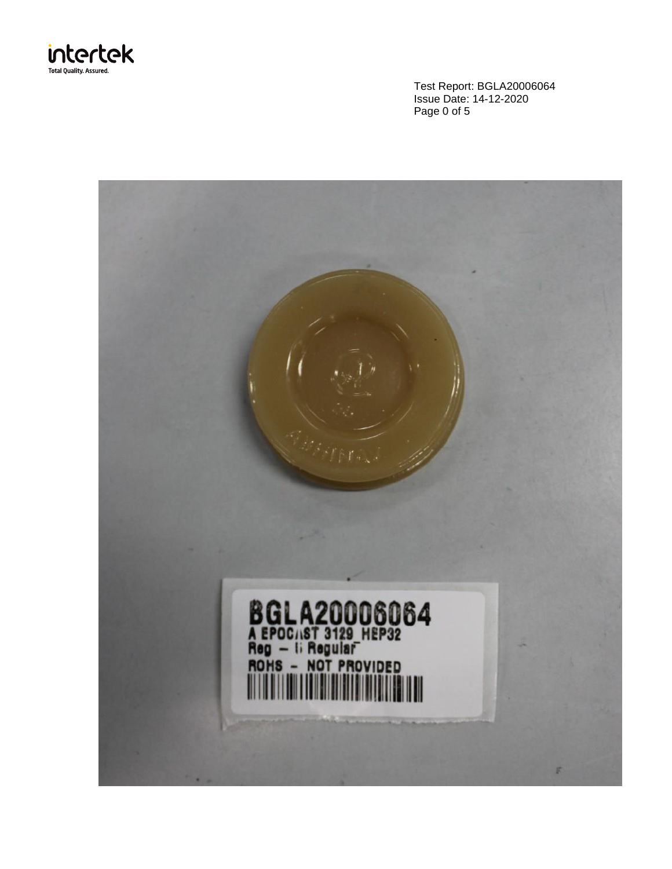

Test Report: BGLA20006064 Issue Date: 14-12-2020 Page 0 of 5

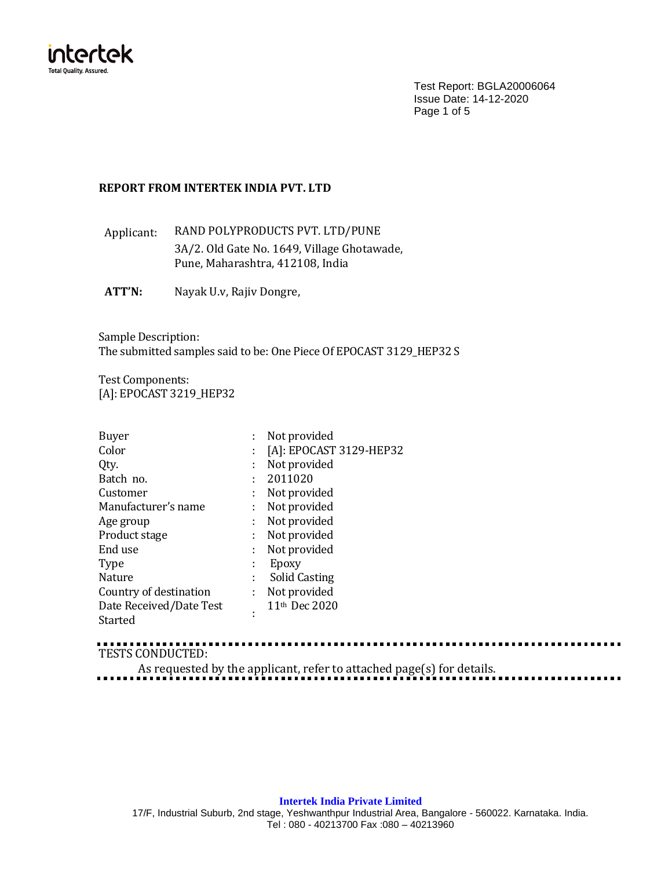

Test Report: BGLA20006064 Issue Date: 14-12-2020 Page 1 of 5

# **REPORT FROM INTERTEK INDIA PVT. LTD**

Applicant: RAND POLYPRODUCTS PVT. LTD/PUNE 3A/2. Old Gate No. 1649, Village Ghotawade, Pune, Maharashtra, 412108, India

**ATT'N:** Nayak U.v, Rajiv Dongre,

Sample Description: The submitted samples said to be: One Piece Of EPOCAST 3129\_HEP32 S

Test Components: [A]: EPOCAST 3219 HEP32

| <b>Buyer</b>            |   | Not provided              |
|-------------------------|---|---------------------------|
| Color                   |   | [A]: EPOCAST 3129-HEP32   |
| Qty.                    |   | Not provided              |
| Batch no.               |   | 2011020                   |
| Customer                |   | Not provided              |
| Manufacturer's name     |   | Not provided              |
| Age group               |   | Not provided              |
| Product stage           |   | Not provided              |
| End use                 |   | Not provided              |
| <b>Type</b>             |   | Epoxy                     |
| Nature                  | ٠ | Solid Casting             |
| Country of destination  | ÷ | Not provided              |
| Date Received/Date Test |   | 11 <sup>th</sup> Dec 2020 |
| Started                 |   |                           |

TESTS CONDUCTED:

As requested by the applicant, refer to attached page(s) for details.

## **Intertek India Private Limited**

17/F, Industrial Suburb, 2nd stage, Yeshwanthpur Industrial Area, Bangalore - 560022. Karnataka. India. Tel : 080 - 40213700 Fax :080 – 40213960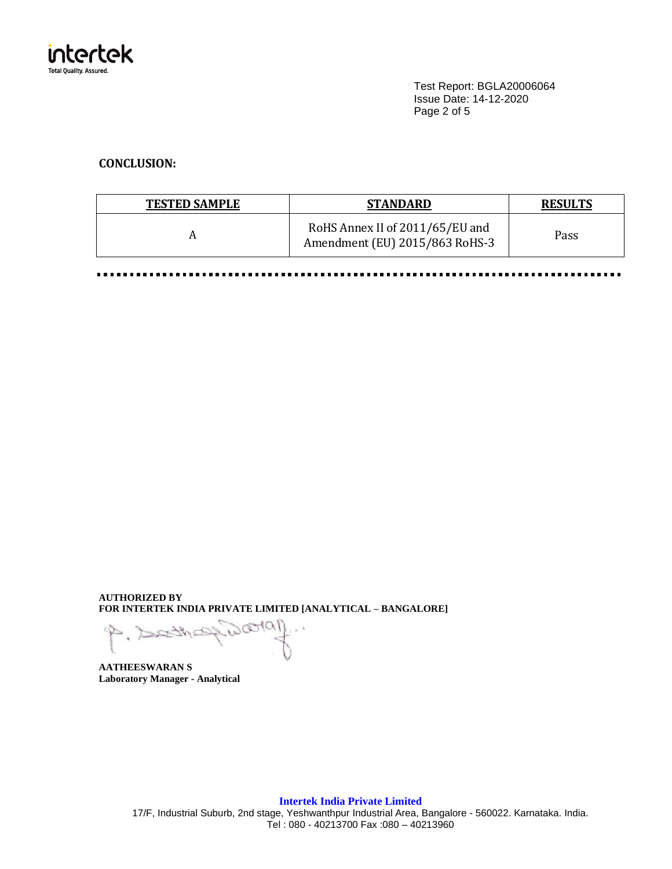

Test Report: BGLA20006064 Issue Date: 14-12-2020 Page 2 of 5

# **CONCLUSION:**

| <b>TESTED SAMPLE</b> | <b>STANDARD</b>                                                   | <b>RESULTS</b> |
|----------------------|-------------------------------------------------------------------|----------------|
|                      | RoHS Annex II of 2011/65/EU and<br>Amendment (EU) 2015/863 RoHS-3 | Pass           |

......... . . . . ............... . . . . . . .  $\blacksquare$ ......... ......  $\blacksquare$ 

**AUTHORIZED BY FOR INTERTEK INDIA PRIVATE LIMITED [ANALYTICAL – BANGALORE]**

**AATHEESWARAN S Laboratory Manager - Analytical**

**Intertek India Private Limited** 17/F, Industrial Suburb, 2nd stage, Yeshwanthpur Industrial Area, Bangalore - 560022. Karnataka. India. Tel : 080 - 40213700 Fax :080 – 40213960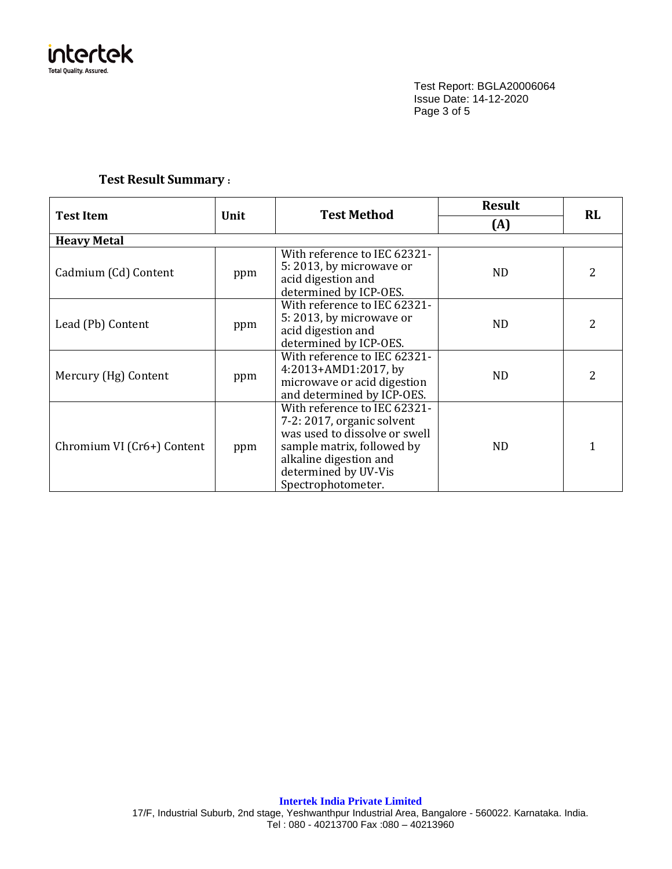

Test Report: BGLA20006064 Issue Date: 14-12-2020 Page 3 of 5

# **Test Result Summary :**

|                            |      | <b>Test Method</b>                                                                                                                                                                                | <b>Result</b> | <b>RL</b> |
|----------------------------|------|---------------------------------------------------------------------------------------------------------------------------------------------------------------------------------------------------|---------------|-----------|
| <b>Test Item</b>           | Unit |                                                                                                                                                                                                   | (A)           |           |
| <b>Heavy Metal</b>         |      |                                                                                                                                                                                                   |               |           |
| Cadmium (Cd) Content       | ppm  | With reference to IEC 62321-<br>5:2013, by microwave or<br>acid digestion and<br>determined by ICP-OES.                                                                                           | <b>ND</b>     | 2         |
| Lead (Pb) Content          | ppm  | With reference to IEC 62321-<br>5:2013, by microwave or<br>acid digestion and<br>determined by ICP-OES.                                                                                           | <b>ND</b>     | 2         |
| Mercury (Hg) Content       | ppm  | With reference to IEC 62321-<br>4:2013+AMD1:2017, by<br>microwave or acid digestion<br>and determined by ICP-OES.                                                                                 | ND.           | 2         |
| Chromium VI (Cr6+) Content | ppm  | With reference to IEC 62321-<br>7-2: 2017, organic solvent<br>was used to dissolve or swell<br>sample matrix, followed by<br>alkaline digestion and<br>determined by UV-Vis<br>Spectrophotometer. | <b>ND</b>     |           |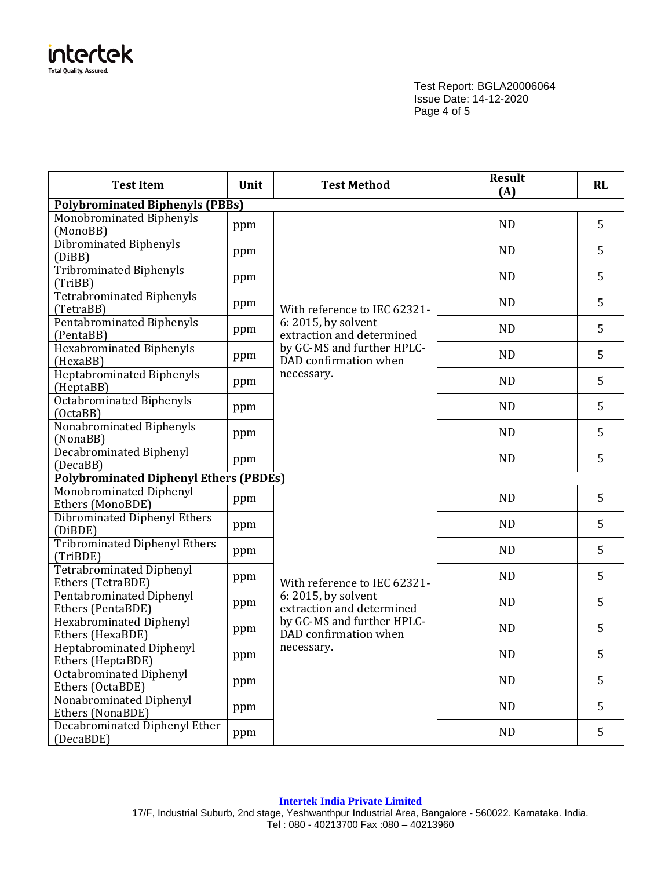

Test Report: BGLA20006064 Issue Date: 14-12-2020 Page 4 of 5

| <b>Test Item</b><br>Unit                             |     | <b>Test Method</b>                                                                                      | <b>Result</b><br>(A) | <b>RL</b> |
|------------------------------------------------------|-----|---------------------------------------------------------------------------------------------------------|----------------------|-----------|
| <b>Polybrominated Biphenyls (PBBs)</b>               |     |                                                                                                         |                      |           |
| Monobrominated Biphenyls<br>(MonoBB)                 | ppm |                                                                                                         | <b>ND</b>            | 5         |
| <b>Dibrominated Biphenyls</b><br>(DiBB)              | ppm |                                                                                                         | <b>ND</b>            | 5         |
| <b>Tribrominated Biphenyls</b><br>(TriBB)            | ppm |                                                                                                         | <b>ND</b>            | 5         |
| <b>Tetrabrominated Biphenyls</b><br>(TetraBB)        | ppm | With reference to IEC 62321-                                                                            | <b>ND</b>            | 5         |
| <b>Pentabrominated Biphenyls</b><br>(PentaBB)        | ppm | 6: 2015, by solvent<br>extraction and determined                                                        | <b>ND</b>            | 5         |
| <b>Hexabrominated Biphenyls</b><br>(HexaBB)          | ppm | by GC-MS and further HPLC-<br>DAD confirmation when                                                     | <b>ND</b>            | 5         |
| Heptabrominated Biphenyls<br>(HeptaBB)               | ppm | necessary.                                                                                              | <b>ND</b>            | 5         |
| <b>Octabrominated Biphenyls</b><br>(OctaBB)          | ppm |                                                                                                         | <b>ND</b>            | 5         |
| Nonabrominated Biphenyls<br>(NonaBB)                 | ppm |                                                                                                         | <b>ND</b>            | 5         |
| <b>Decabrominated Biphenyl</b><br>(DecaBB)           | ppm |                                                                                                         | <b>ND</b>            | 5         |
| <b>Polybrominated Diphenyl Ethers (PBDEs)</b>        |     |                                                                                                         |                      |           |
| Monobrominated Diphenyl<br>Ethers (MonoBDE)          | ppm |                                                                                                         | <b>ND</b>            | 5         |
| <b>Dibrominated Diphenyl Ethers</b><br>(DiBDE)       | ppm |                                                                                                         | <b>ND</b>            | 5         |
| <b>Tribrominated Diphenyl Ethers</b><br>(TriBDE)     | ppm |                                                                                                         | <b>ND</b>            | 5         |
| <b>Tetrabrominated Diphenyl</b><br>Ethers (TetraBDE) | ppm | With reference to IEC 62321-                                                                            | <b>ND</b>            | 5         |
| Pentabrominated Diphenyl<br>Ethers (PentaBDE)        | ppm | 6: 2015, by solvent<br>extraction and determined<br>by GC-MS and further HPLC-<br>DAD confirmation when | <b>ND</b>            | 5         |
| <b>Hexabrominated Diphenyl</b><br>Ethers (HexaBDE)   | ppm |                                                                                                         | <b>ND</b>            | 5         |
| Heptabrominated Diphenyl<br>Ethers (HeptaBDE)        | ppm | necessary.                                                                                              | <b>ND</b>            | 5         |
| Octabrominated Diphenyl<br>Ethers (OctaBDE)          | ppm |                                                                                                         | <b>ND</b>            | 5         |
| Nonabrominated Diphenyl<br>Ethers (NonaBDE)          | ppm |                                                                                                         | <b>ND</b>            | 5         |
| Decabrominated Diphenyl Ether<br>(DecaBDE)           | ppm |                                                                                                         | <b>ND</b>            | 5         |